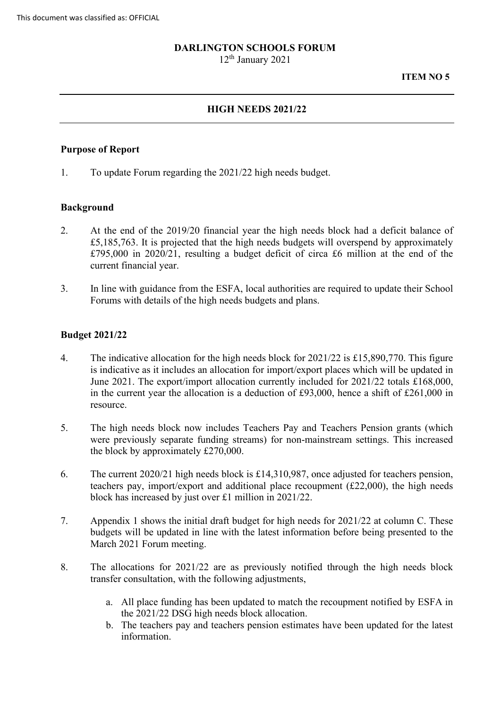#### **DARLINGTON SCHOOLS FORUM**

12th January 2021

#### **ITEM NO 5**

# **HIGH NEEDS 2021/22**

#### **Purpose of Report**

1. To update Forum regarding the 2021/22 high needs budget.

## **Background**

- 2. At the end of the 2019/20 financial year the high needs block had a deficit balance of £5,185,763. It is projected that the high needs budgets will overspend by approximately £795,000 in 2020/21, resulting a budget deficit of circa £6 million at the end of the current financial year.
- 3. In line with guidance from the ESFA, local authorities are required to update their School Forums with details of the high needs budgets and plans.

#### **Budget 2021/22**

- 4. The indicative allocation for the high needs block for 2021/22 is £15,890,770. This figure is indicative as it includes an allocation for import/export places which will be updated in June 2021. The export/import allocation currently included for 2021/22 totals £168,000, in the current year the allocation is a deduction of £93,000, hence a shift of £261,000 in resource.
- 5. The high needs block now includes Teachers Pay and Teachers Pension grants (which the block by approximately £270,000. were previously separate funding streams) for non-mainstream settings. This increased
- block has increased by just over £1 million in 2021/22. 6. The current 2020/21 high needs block is £14,310,987, once adjusted for teachers pension, teachers pay, import/export and additional place recoupment (£22,000), the high needs
- 7. Appendix 1 shows the initial draft budget for high needs for 2021/22 at column C. These budgets will be updated in line with the latest information before being presented to the March 2021 Forum meeting.
- 8. The allocations for 2021/22 are as previously notified through the high needs block transfer consultation, with the following adjustments,
	- a. All place funding has been updated to match the recoupment notified by ESFA in the 2021/22 DSG high needs block allocation.
	- b. The teachers pay and teachers pension estimates have been updated for the latest information.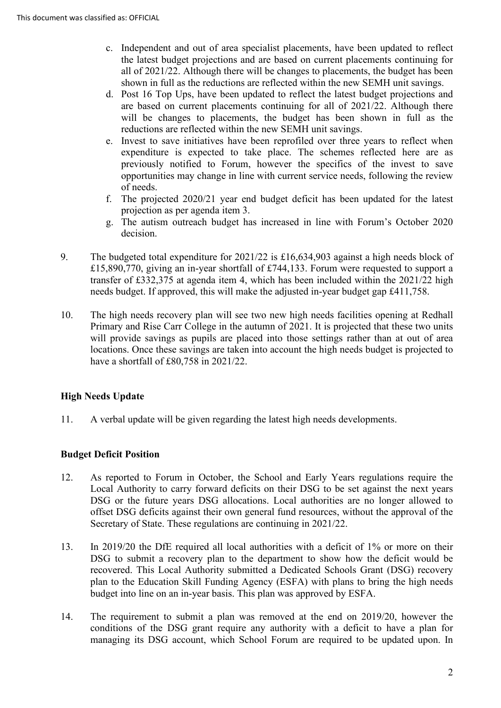- c. Independent and out of area specialist placements, have been updated to reflect the latest budget projections and are based on current placements continuing for all of 2021/22. Although there will be changes to placements, the budget has been shown in full as the reductions are reflected within the new SEMH unit savings.
- d. Post 16 Top Ups, have been updated to reflect the latest budget projections and are based on current placements continuing for all of 2021/22. Although there will be changes to placements, the budget has been shown in full as the reductions are reflected within the new SEMH unit savings.
- previously notified to Forum, however the specifics of the invest to save opportunities may change in line with current service needs, following the review e. Invest to save initiatives have been reprofiled over three years to reflect when expenditure is expected to take place. The schemes reflected here are as of needs.
- f. The projected 2020/21 year end budget deficit has been updated for the latest projection as per agenda item 3.
- g. The autism outreach budget has increased in line with Forum's October 2020 decision.
- £15,890,770, giving an in-year shortfall of £744,133. Forum were requested to support a 9. The budgeted total expenditure for 2021/22 is £16,634,903 against a high needs block of transfer of £332,375 at agenda item 4, which has been included within the 2021/22 high needs budget. If approved, this will make the adjusted in-year budget gap £411,758.
- Primary and Rise Carr College in the autumn of 2021. It is projected that these two units locations. Once these savings are taken into account the high needs budget is projected to have a shortfall of £80,758 in 2021/22. 10. The high needs recovery plan will see two new high needs facilities opening at Redhall will provide savings as pupils are placed into those settings rather than at out of area

# **High Needs Update**

11. A verbal update will be given regarding the latest high needs developments.

# **Budget Deficit Position**

- 12. As reported to Forum in October, the School and Early Years regulations require the Secretary of State. These regulations are continuing in 2021/22. Local Authority to carry forward deficits on their DSG to be set against the next years DSG or the future years DSG allocations. Local authorities are no longer allowed to offset DSG deficits against their own general fund resources, without the approval of the
- DSG to submit a recovery plan to the department to show how the deficit would be budget into line on an in-year basis. This plan was approved by ESFA. 13. In 2019/20 the DfE required all local authorities with a deficit of 1% or more on their recovered. This Local Authority submitted a Dedicated Schools Grant (DSG) recovery plan to the Education Skill Funding Agency (ESFA) with plans to bring the high needs
- budget into line on an in-year basis. This plan was approved by ESFA.<br>14. The requirement to submit a plan was removed at the end on 2019/20, however the conditions of the DSG grant require any authority with a deficit to have a plan for managing its DSG account, which School Forum are required to be updated upon. In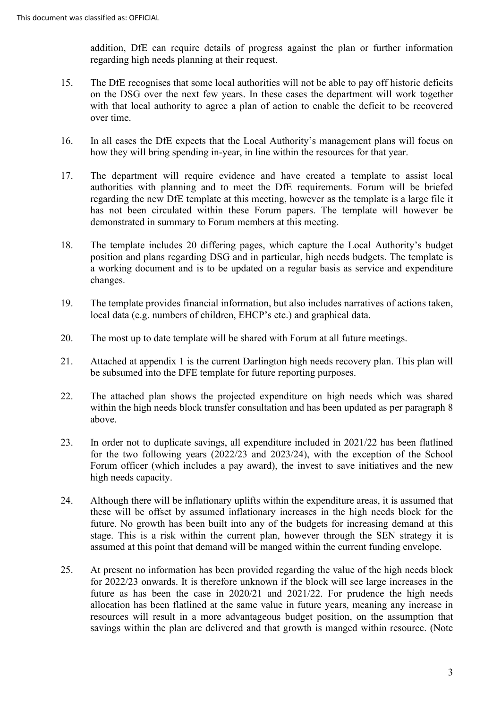addition, DfE can require details of progress against the plan or further information regarding high needs planning at their request.

- 15. The DfE recognises that some local authorities will not be able to pay off historic deficits on the DSG over the next few years. In these cases the department will work together with that local authority to agree a plan of action to enable the deficit to be recovered over time.
- 16. In all cases the DfE expects that the Local Authority's management plans will focus on how they will bring spending in-year, in line within the resources for that year.
- how they will bring spending in-year, in line within the resources for that year.<br>17. The department will require evidence and have created a template to assist local authorities with planning and to meet the DfE requirements. Forum will be briefed regarding the new DfE template at this meeting, however as the template is a large file it has not been circulated within these Forum papers. The template will however be demonstrated in summary to Forum members at this meeting.
- position and plans regarding DSG and in particular, high needs budgets. The template is 18. The template includes 20 differing pages, which capture the Local Authority's budget a working document and is to be updated on a regular basis as service and expenditure changes.
- local data (e.g. numbers of children, EHCP's etc.) and graphical data. 19. The template provides financial information, but also includes narratives of actions taken,
- 20. The most up to date template will be shared with Forum at all future meetings.
- 21. Attached at appendix 1 is the current Darlington high needs recovery plan. This plan will be subsumed into the DFE template for future reporting purposes.
- 22. The attached plan shows the projected expenditure on high needs which was shared within the high needs block transfer consultation and has been updated as per paragraph 8 above.
- 23. In order not to duplicate savings, all expenditure included in 2021/22 has been flatlined for the two following years (2022/23 and 2023/24), with the exception of the School Forum officer (which includes a pay award), the invest to save initiatives and the new high needs capacity.
- these will be offset by assumed inflationary increases in the high needs block for the 24. Although there will be inflationary uplifts within the expenditure areas, it is assumed that future. No growth has been built into any of the budgets for increasing demand at this stage. This is a risk within the current plan, however through the SEN strategy it is assumed at this point that demand will be manged within the current funding envelope.
- future as has been the case in 2020/21 and 2021/22. For prudence the high needs resources will result in a more advantageous budget position, on the assumption that 25. At present no information has been provided regarding the value of the high needs block for 2022/23 onwards. It is therefore unknown if the block will see large increases in the allocation has been flatlined at the same value in future years, meaning any increase in savings within the plan are delivered and that growth is manged within resource. (Note